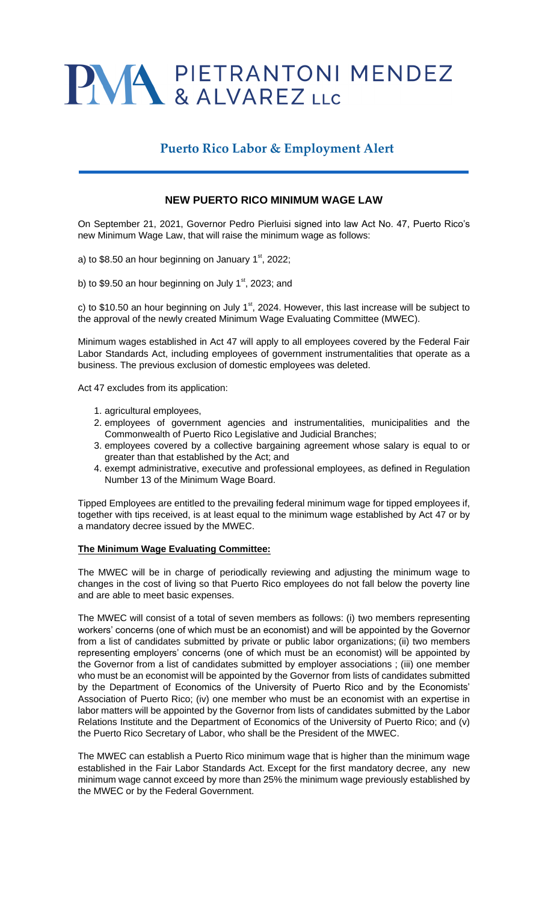# PWA PIETRANTONI MENDEZ

## **Puerto Rico Labor & Employment Alert**

### **NEW PUERTO RICO MINIMUM WAGE LAW**

On September 21, 2021, Governor Pedro Pierluisi signed into law Act No. 47, Puerto Rico's new Minimum Wage Law, that will raise the minimum wage as follows:

a) to \$8.50 an hour beginning on January  $1<sup>st</sup>$ , 2022;

b) to \$9.50 an hour beginning on July  $1<sup>st</sup>$ , 2023; and

c) to \$10.50 an hour beginning on July  $1<sup>st</sup>$ , 2024. However, this last increase will be subject to the approval of the newly created Minimum Wage Evaluating Committee (MWEC).

Minimum wages established in Act 47 will apply to all employees covered by the Federal Fair Labor Standards Act, including employees of government instrumentalities that operate as a business. The previous exclusion of domestic employees was deleted.

Act 47 excludes from its application:

- 1. agricultural employees,
- 2. employees of government agencies and instrumentalities, municipalities and the Commonwealth of Puerto Rico Legislative and Judicial Branches;
- 3. employees covered by a collective bargaining agreement whose salary is equal to or greater than that established by the Act; and
- 4. exempt administrative, executive and professional employees, as defined in Regulation Number 13 of the Minimum Wage Board.

Tipped Employees are entitled to the prevailing federal minimum wage for tipped employees if, together with tips received, is at least equal to the minimum wage established by Act 47 or by a mandatory decree issued by the MWEC.

#### **The Minimum Wage Evaluating Committee:**

The MWEC will be in charge of periodically reviewing and adjusting the minimum wage to changes in the cost of living so that Puerto Rico employees do not fall below the poverty line and are able to meet basic expenses.

The MWEC will consist of a total of seven members as follows: (i) two members representing workers' concerns (one of which must be an economist) and will be appointed by the Governor from a list of candidates submitted by private or public labor organizations; (ii) two members representing employers' concerns (one of which must be an economist) will be appointed by the Governor from a list of candidates submitted by employer associations ; (iii) one member who must be an economist will be appointed by the Governor from lists of candidates submitted by the Department of Economics of the University of Puerto Rico and by the Economists' Association of Puerto Rico; (iv) one member who must be an economist with an expertise in labor matters will be appointed by the Governor from lists of candidates submitted by the Labor Relations Institute and the Department of Economics of the University of Puerto Rico; and (v) the Puerto Rico Secretary of Labor, who shall be the President of the MWEC.

The MWEC can establish a Puerto Rico minimum wage that is higher than the minimum wage established in the Fair Labor Standards Act. Except for the first mandatory decree, any new minimum wage cannot exceed by more than 25% the minimum wage previously established by the MWEC or by the Federal Government.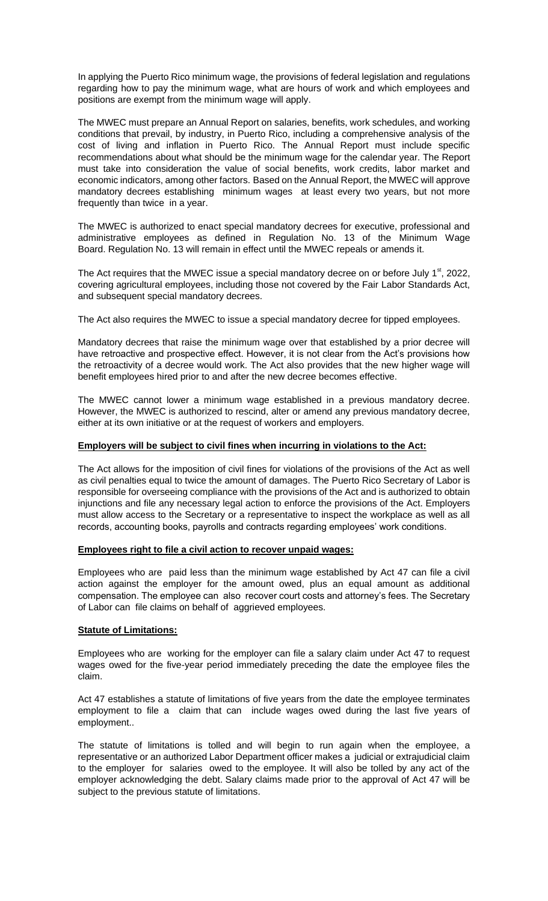In applying the Puerto Rico minimum wage, the provisions of federal legislation and regulations regarding how to pay the minimum wage, what are hours of work and which employees and positions are exempt from the minimum wage will apply.

The MWEC must prepare an Annual Report on salaries, benefits, work schedules, and working conditions that prevail, by industry, in Puerto Rico, including a comprehensive analysis of the cost of living and inflation in Puerto Rico. The Annual Report must include specific recommendations about what should be the minimum wage for the calendar year. The Report must take into consideration the value of social benefits, work credits, labor market and economic indicators, among other factors. Based on the Annual Report, the MWEC will approve mandatory decrees establishing minimum wages at least every two years, but not more frequently than twice in a year.

The MWEC is authorized to enact special mandatory decrees for executive, professional and administrative employees as defined in Regulation No. 13 of the Minimum Wage Board. Regulation No. 13 will remain in effect until the MWEC repeals or amends it.

The Act requires that the MWEC issue a special mandatory decree on or before July  $1<sup>st</sup>$ , 2022, covering agricultural employees, including those not covered by the Fair Labor Standards Act, and subsequent special mandatory decrees.

The Act also requires the MWEC to issue a special mandatory decree for tipped employees.

Mandatory decrees that raise the minimum wage over that established by a prior decree will have retroactive and prospective effect. However, it is not clear from the Act's provisions how the retroactivity of a decree would work. The Act also provides that the new higher wage will benefit employees hired prior to and after the new decree becomes effective.

The MWEC cannot lower a minimum wage established in a previous mandatory decree. However, the MWEC is authorized to rescind, alter or amend any previous mandatory decree, either at its own initiative or at the request of workers and employers.

#### **Employers will be subject to civil fines when incurring in violations to the Act:**

The Act allows for the imposition of civil fines for violations of the provisions of the Act as well as civil penalties equal to twice the amount of damages. The Puerto Rico Secretary of Labor is responsible for overseeing compliance with the provisions of the Act and is authorized to obtain injunctions and file any necessary legal action to enforce the provisions of the Act. Employers must allow access to the Secretary or a representative to inspect the workplace as well as all records, accounting books, payrolls and contracts regarding employees' work conditions.

#### **Employees right to file a civil action to recover unpaid wages:**

Employees who are paid less than the minimum wage established by Act 47 can file a civil action against the employer for the amount owed, plus an equal amount as additional compensation. The employee can also recover court costs and attorney's fees. The Secretary of Labor can file claims on behalf of aggrieved employees.

#### **Statute of Limitations:**

Employees who are working for the employer can file a salary claim under Act 47 to request wages owed for the five-year period immediately preceding the date the employee files the claim.

Act 47 establishes a statute of limitations of five years from the date the employee terminates employment to file a claim that can include wages owed during the last five years of employment..

The statute of limitations is tolled and will begin to run again when the employee, a representative or an authorized Labor Department officer makes a judicial or extrajudicial claim to the employer for salaries owed to the employee. It will also be tolled by any act of the employer acknowledging the debt. Salary claims made prior to the approval of Act 47 will be subject to the previous statute of limitations.